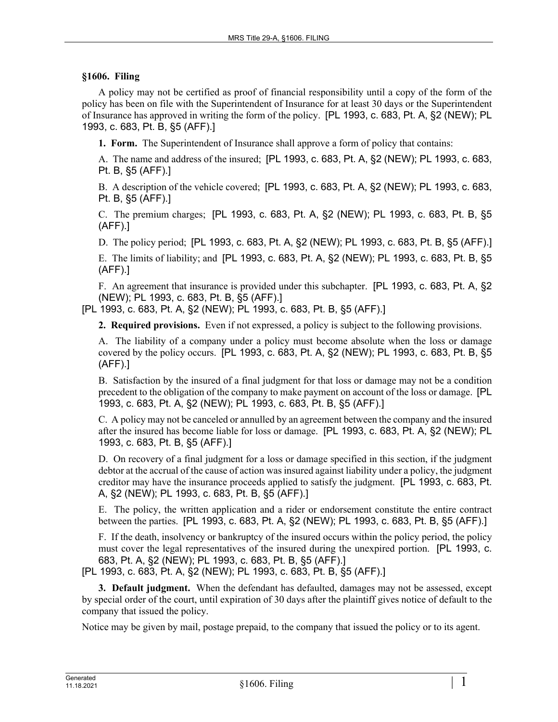## **§1606. Filing**

A policy may not be certified as proof of financial responsibility until a copy of the form of the policy has been on file with the Superintendent of Insurance for at least 30 days or the Superintendent of Insurance has approved in writing the form of the policy. [PL 1993, c. 683, Pt. A, §2 (NEW); PL 1993, c. 683, Pt. B, §5 (AFF).]

**1. Form.** The Superintendent of Insurance shall approve a form of policy that contains:

A. The name and address of the insured; [PL 1993, c. 683, Pt. A, §2 (NEW); PL 1993, c. 683, Pt. B, §5 (AFF).]

B. A description of the vehicle covered; [PL 1993, c. 683, Pt. A, §2 (NEW); PL 1993, c. 683, Pt. B, §5 (AFF).]

C. The premium charges; [PL 1993, c. 683, Pt. A, §2 (NEW); PL 1993, c. 683, Pt. B, §5 (AFF).]

D. The policy period; [PL 1993, c. 683, Pt. A, §2 (NEW); PL 1993, c. 683, Pt. B, §5 (AFF).]

E. The limits of liability; and [PL 1993, c. 683, Pt. A, §2 (NEW); PL 1993, c. 683, Pt. B, §5 (AFF).]

F. An agreement that insurance is provided under this subchapter. [PL 1993, c. 683, Pt. A, §2 (NEW); PL 1993, c. 683, Pt. B, §5 (AFF).]

[PL 1993, c. 683, Pt. A, §2 (NEW); PL 1993, c. 683, Pt. B, §5 (AFF).]

**2. Required provisions.** Even if not expressed, a policy is subject to the following provisions.

A. The liability of a company under a policy must become absolute when the loss or damage covered by the policy occurs. [PL 1993, c. 683, Pt. A, §2 (NEW); PL 1993, c. 683, Pt. B, §5 (AFF).]

B. Satisfaction by the insured of a final judgment for that loss or damage may not be a condition precedent to the obligation of the company to make payment on account of the loss or damage. [PL 1993, c. 683, Pt. A, §2 (NEW); PL 1993, c. 683, Pt. B, §5 (AFF).]

C. A policy may not be canceled or annulled by an agreement between the company and the insured after the insured has become liable for loss or damage. [PL 1993, c. 683, Pt. A, §2 (NEW); PL 1993, c. 683, Pt. B, §5 (AFF).]

D. On recovery of a final judgment for a loss or damage specified in this section, if the judgment debtor at the accrual of the cause of action was insured against liability under a policy, the judgment creditor may have the insurance proceeds applied to satisfy the judgment. [PL 1993, c. 683, Pt. A, §2 (NEW); PL 1993, c. 683, Pt. B, §5 (AFF).]

E. The policy, the written application and a rider or endorsement constitute the entire contract between the parties. [PL 1993, c. 683, Pt. A, §2 (NEW); PL 1993, c. 683, Pt. B, §5 (AFF).]

F. If the death, insolvency or bankruptcy of the insured occurs within the policy period, the policy must cover the legal representatives of the insured during the unexpired portion. [PL 1993, c. 683, Pt. A, §2 (NEW); PL 1993, c. 683, Pt. B, §5 (AFF).]

[PL 1993, c. 683, Pt. A, §2 (NEW); PL 1993, c. 683, Pt. B, §5 (AFF).]

**3. Default judgment.** When the defendant has defaulted, damages may not be assessed, except by special order of the court, until expiration of 30 days after the plaintiff gives notice of default to the company that issued the policy.

Notice may be given by mail, postage prepaid, to the company that issued the policy or to its agent.